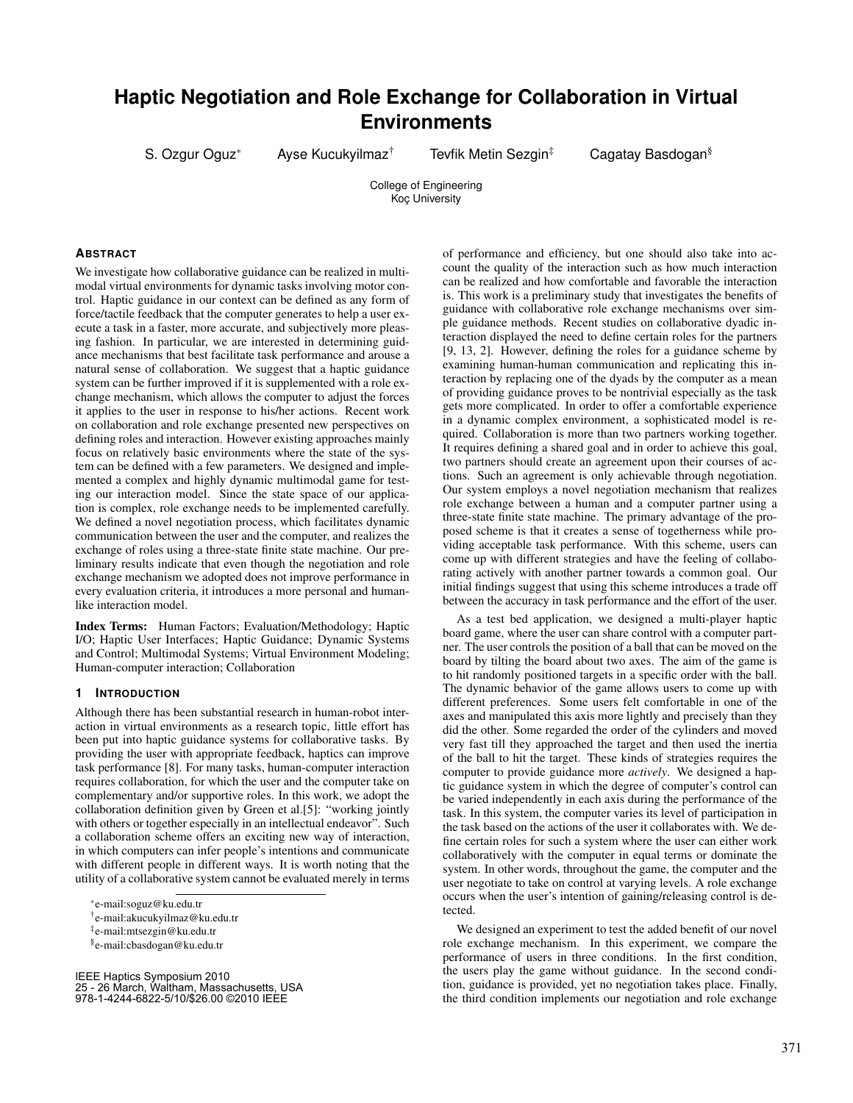# **Haptic Negotiation and Role Exchange for Collaboration in Virtual Environments**

S. Ozgur Oguz<sup>∗</sup> Ayse Kucukyilmaz<sup>†</sup> Tevfik Metin Sezgin<sup>‡</sup> Cagatay Basdogan<sup>§</sup>

College of Engineering Koc¸ University

## **ABSTRACT**

We investigate how collaborative guidance can be realized in multimodal virtual environments for dynamic tasks involving motor control. Haptic guidance in our context can be defined as any form of force/tactile feedback that the computer generates to help a user execute a task in a faster, more accurate, and subjectively more pleasing fashion. In particular, we are interested in determining guidance mechanisms that best facilitate task performance and arouse a natural sense of collaboration. We suggest that a haptic guidance system can be further improved if it is supplemented with a role exchange mechanism, which allows the computer to adjust the forces it applies to the user in response to his/her actions. Recent work on collaboration and role exchange presented new perspectives on defining roles and interaction. However existing approaches mainly focus on relatively basic environments where the state of the system can be defined with a few parameters. We designed and implemented a complex and highly dynamic multimodal game for testing our interaction model. Since the state space of our application is complex, role exchange needs to be implemented carefully. We defined a novel negotiation process, which facilitates dynamic communication between the user and the computer, and realizes the exchange of roles using a three-state finite state machine. Our preliminary results indicate that even though the negotiation and role exchange mechanism we adopted does not improve performance in every evaluation criteria, it introduces a more personal and humanlike interaction model.

Index Terms: Human Factors; Evaluation/Methodology; Haptic I/O; Haptic User Interfaces; Haptic Guidance; Dynamic Systems and Control; Multimodal Systems; Virtual Environment Modeling; Human-computer interaction; Collaboration

#### **1 INTRODUCTION**

Although there has been substantial research in human-robot interaction in virtual environments as a research topic, little effort has been put into haptic guidance systems for collaborative tasks. By providing the user with appropriate feedback, haptics can improve task performance [8]. For many tasks, human-computer interaction requires collaboration, for which the user and the computer take on complementary and/or supportive roles. In this work, we adopt the collaboration definition given by Green et al.[5]: "working jointly with others or together especially in an intellectual endeavor". Such a collaboration scheme offers an exciting new way of interaction, in which computers can infer people's intentions and communicate with different people in different ways. It is worth noting that the utility of a collaborative system cannot be evaluated merely in terms

∗ e-mail:soguz@ku.edu.tr

† e-mail:akucukyilmaz@ku.edu.tr

IEEE Haptics Symposium 2010 25 - 26 March, Waltham, Massachusetts, USA 978-1-4244-6822-5/10/\$26.00 ©2010 IEEE

of performance and efficiency, but one should also take into account the quality of the interaction such as how much interaction can be realized and how comfortable and favorable the interaction is. This work is a preliminary study that investigates the benefits of guidance with collaborative role exchange mechanisms over simple guidance methods. Recent studies on collaborative dyadic interaction displayed the need to define certain roles for the partners [9, 13, 2]. However, defining the roles for a guidance scheme by examining human-human communication and replicating this interaction by replacing one of the dyads by the computer as a mean of providing guidance proves to be nontrivial especially as the task gets more complicated. In order to offer a comfortable experience in a dynamic complex environment, a sophisticated model is required. Collaboration is more than two partners working together. It requires defining a shared goal and in order to achieve this goal, two partners should create an agreement upon their courses of actions. Such an agreement is only achievable through negotiation. Our system employs a novel negotiation mechanism that realizes role exchange between a human and a computer partner using a three-state finite state machine. The primary advantage of the proposed scheme is that it creates a sense of togetherness while providing acceptable task performance. With this scheme, users can come up with different strategies and have the feeling of collaborating actively with another partner towards a common goal. Our initial findings suggest that using this scheme introduces a trade off between the accuracy in task performance and the effort of the user.

As a test bed application, we designed a multi-player haptic board game, where the user can share control with a computer partner. The user controls the position of a ball that can be moved on the board by tilting the board about two axes. The aim of the game is to hit randomly positioned targets in a specific order with the ball. The dynamic behavior of the game allows users to come up with different preferences. Some users felt comfortable in one of the axes and manipulated this axis more lightly and precisely than they did the other. Some regarded the order of the cylinders and moved very fast till they approached the target and then used the inertia of the ball to hit the target. These kinds of strategies requires the computer to provide guidance more *actively*. We designed a haptic guidance system in which the degree of computer's control can be varied independently in each axis during the performance of the task. In this system, the computer varies its level of participation in the task based on the actions of the user it collaborates with. We define certain roles for such a system where the user can either work collaboratively with the computer in equal terms or dominate the system. In other words, throughout the game, the computer and the user negotiate to take on control at varying levels. A role exchange occurs when the user's intention of gaining/releasing control is detected.

We designed an experiment to test the added benefit of our novel role exchange mechanism. In this experiment, we compare the performance of users in three conditions. In the first condition, the users play the game without guidance. In the second condition, guidance is provided, yet no negotiation takes place. Finally, the third condition implements our negotiation and role exchange

<sup>‡</sup> e-mail:mtsezgin@ku.edu.tr

<sup>§</sup> e-mail:cbasdogan@ku.edu.tr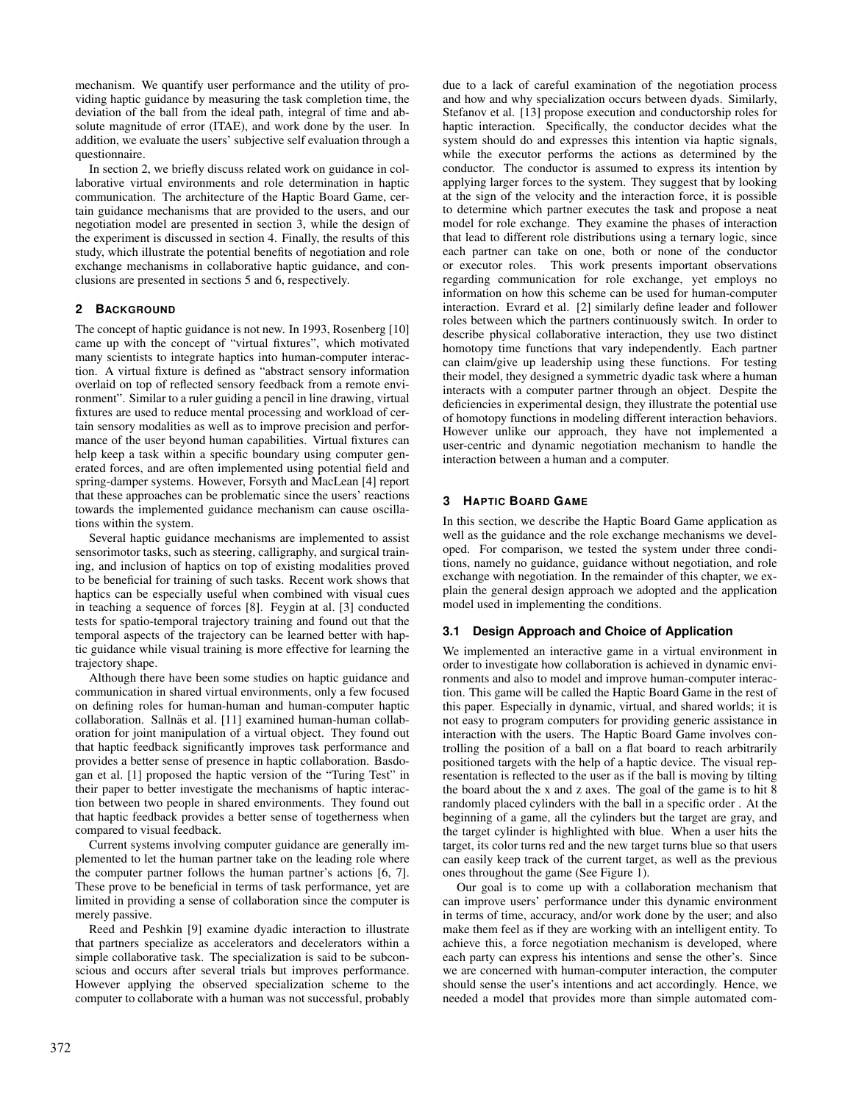mechanism. We quantify user performance and the utility of providing haptic guidance by measuring the task completion time, the deviation of the ball from the ideal path, integral of time and absolute magnitude of error (ITAE), and work done by the user. In addition, we evaluate the users' subjective self evaluation through a questionnaire.

In section 2, we briefly discuss related work on guidance in collaborative virtual environments and role determination in haptic communication. The architecture of the Haptic Board Game, certain guidance mechanisms that are provided to the users, and our negotiation model are presented in section 3, while the design of the experiment is discussed in section 4. Finally, the results of this study, which illustrate the potential benefits of negotiation and role exchange mechanisms in collaborative haptic guidance, and conclusions are presented in sections 5 and 6, respectively.

# **2 BACKGROUND**

The concept of haptic guidance is not new. In 1993, Rosenberg [10] came up with the concept of "virtual fixtures", which motivated many scientists to integrate haptics into human-computer interaction. A virtual fixture is defined as "abstract sensory information overlaid on top of reflected sensory feedback from a remote environment". Similar to a ruler guiding a pencil in line drawing, virtual fixtures are used to reduce mental processing and workload of certain sensory modalities as well as to improve precision and performance of the user beyond human capabilities. Virtual fixtures can help keep a task within a specific boundary using computer generated forces, and are often implemented using potential field and spring-damper systems. However, Forsyth and MacLean [4] report that these approaches can be problematic since the users' reactions towards the implemented guidance mechanism can cause oscillations within the system.

Several haptic guidance mechanisms are implemented to assist sensorimotor tasks, such as steering, calligraphy, and surgical training, and inclusion of haptics on top of existing modalities proved to be beneficial for training of such tasks. Recent work shows that haptics can be especially useful when combined with visual cues in teaching a sequence of forces [8]. Feygin at al. [3] conducted tests for spatio-temporal trajectory training and found out that the temporal aspects of the trajectory can be learned better with haptic guidance while visual training is more effective for learning the trajectory shape.

Although there have been some studies on haptic guidance and communication in shared virtual environments, only a few focused on defining roles for human-human and human-computer haptic collaboration. Sallnäs et al. [11] examined human-human collaboration for joint manipulation of a virtual object. They found out that haptic feedback significantly improves task performance and provides a better sense of presence in haptic collaboration. Basdogan et al. [1] proposed the haptic version of the "Turing Test" in their paper to better investigate the mechanisms of haptic interaction between two people in shared environments. They found out that haptic feedback provides a better sense of togetherness when compared to visual feedback.

Current systems involving computer guidance are generally implemented to let the human partner take on the leading role where the computer partner follows the human partner's actions [6, 7]. These prove to be beneficial in terms of task performance, yet are limited in providing a sense of collaboration since the computer is merely passive.

Reed and Peshkin [9] examine dyadic interaction to illustrate that partners specialize as accelerators and decelerators within a simple collaborative task. The specialization is said to be subconscious and occurs after several trials but improves performance. However applying the observed specialization scheme to the computer to collaborate with a human was not successful, probably

due to a lack of careful examination of the negotiation process and how and why specialization occurs between dyads. Similarly, Stefanov et al. [13] propose execution and conductorship roles for haptic interaction. Specifically, the conductor decides what the system should do and expresses this intention via haptic signals, while the executor performs the actions as determined by the conductor. The conductor is assumed to express its intention by applying larger forces to the system. They suggest that by looking at the sign of the velocity and the interaction force, it is possible to determine which partner executes the task and propose a neat model for role exchange. They examine the phases of interaction that lead to different role distributions using a ternary logic, since each partner can take on one, both or none of the conductor or executor roles. This work presents important observations regarding communication for role exchange, yet employs no information on how this scheme can be used for human-computer interaction. Evrard et al. [2] similarly define leader and follower roles between which the partners continuously switch. In order to describe physical collaborative interaction, they use two distinct homotopy time functions that vary independently. Each partner can claim/give up leadership using these functions. For testing their model, they designed a symmetric dyadic task where a human interacts with a computer partner through an object. Despite the deficiencies in experimental design, they illustrate the potential use of homotopy functions in modeling different interaction behaviors. However unlike our approach, they have not implemented a user-centric and dynamic negotiation mechanism to handle the interaction between a human and a computer.

# **3 HAPTIC BOARD GAME**

In this section, we describe the Haptic Board Game application as well as the guidance and the role exchange mechanisms we developed. For comparison, we tested the system under three conditions, namely no guidance, guidance without negotiation, and role exchange with negotiation. In the remainder of this chapter, we explain the general design approach we adopted and the application model used in implementing the conditions.

# **3.1 Design Approach and Choice of Application**

We implemented an interactive game in a virtual environment in order to investigate how collaboration is achieved in dynamic environments and also to model and improve human-computer interaction. This game will be called the Haptic Board Game in the rest of this paper. Especially in dynamic, virtual, and shared worlds; it is not easy to program computers for providing generic assistance in interaction with the users. The Haptic Board Game involves controlling the position of a ball on a flat board to reach arbitrarily positioned targets with the help of a haptic device. The visual representation is reflected to the user as if the ball is moving by tilting the board about the x and z axes. The goal of the game is to hit 8 randomly placed cylinders with the ball in a specific order . At the beginning of a game, all the cylinders but the target are gray, and the target cylinder is highlighted with blue. When a user hits the target, its color turns red and the new target turns blue so that users can easily keep track of the current target, as well as the previous ones throughout the game (See Figure 1).

Our goal is to come up with a collaboration mechanism that can improve users' performance under this dynamic environment in terms of time, accuracy, and/or work done by the user; and also make them feel as if they are working with an intelligent entity. To achieve this, a force negotiation mechanism is developed, where each party can express his intentions and sense the other's. Since we are concerned with human-computer interaction, the computer should sense the user's intentions and act accordingly. Hence, we needed a model that provides more than simple automated com-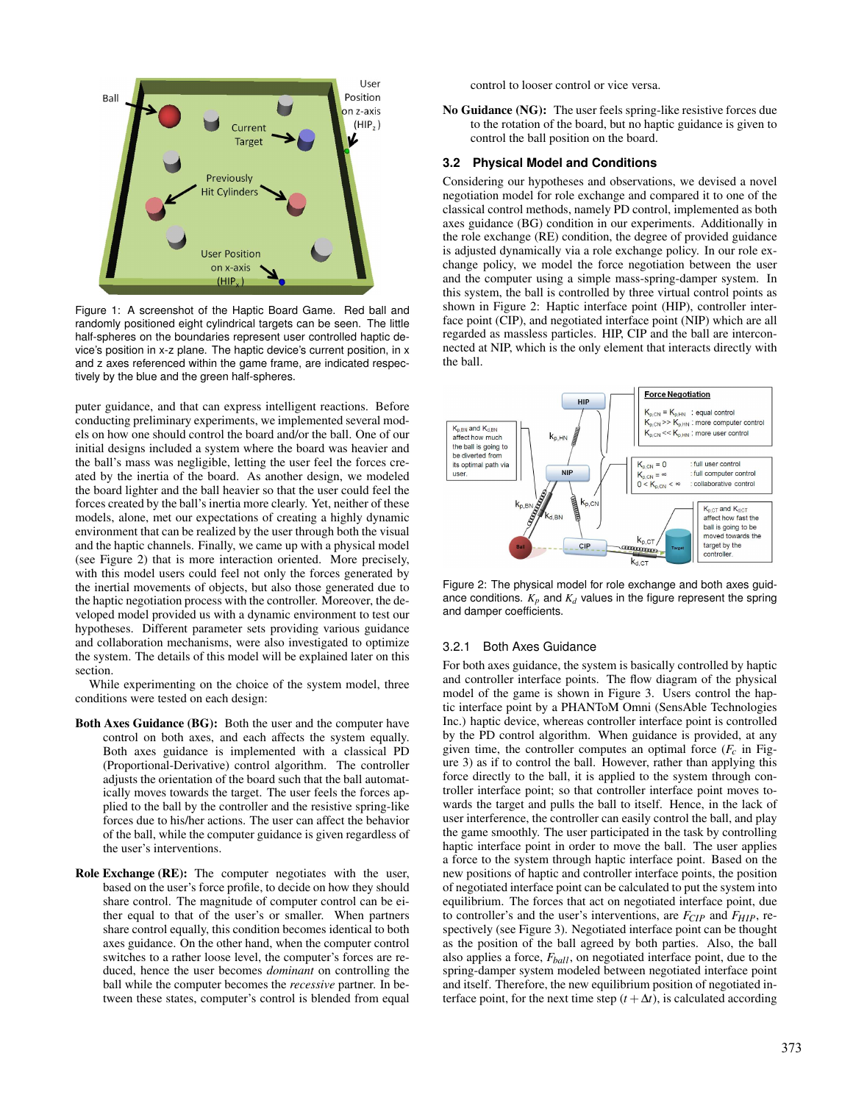

Figure 1: A screenshot of the Haptic Board Game. Red ball and randomly positioned eight cylindrical targets can be seen. The little half-spheres on the boundaries represent user controlled haptic device's position in x-z plane. The haptic device's current position, in x and z axes referenced within the game frame, are indicated respectively by the blue and the green half-spheres.

puter guidance, and that can express intelligent reactions. Before conducting preliminary experiments, we implemented several models on how one should control the board and/or the ball. One of our initial designs included a system where the board was heavier and the ball's mass was negligible, letting the user feel the forces created by the inertia of the board. As another design, we modeled the board lighter and the ball heavier so that the user could feel the forces created by the ball's inertia more clearly. Yet, neither of these models, alone, met our expectations of creating a highly dynamic environment that can be realized by the user through both the visual and the haptic channels. Finally, we came up with a physical model (see Figure 2) that is more interaction oriented. More precisely, with this model users could feel not only the forces generated by the inertial movements of objects, but also those generated due to the haptic negotiation process with the controller. Moreover, the developed model provided us with a dynamic environment to test our hypotheses. Different parameter sets providing various guidance and collaboration mechanisms, were also investigated to optimize the system. The details of this model will be explained later on this section.

While experimenting on the choice of the system model, three conditions were tested on each design:

- Both Axes Guidance (BG): Both the user and the computer have control on both axes, and each affects the system equally. Both axes guidance is implemented with a classical PD (Proportional-Derivative) control algorithm. The controller adjusts the orientation of the board such that the ball automatically moves towards the target. The user feels the forces applied to the ball by the controller and the resistive spring-like forces due to his/her actions. The user can affect the behavior of the ball, while the computer guidance is given regardless of the user's interventions.
- Role Exchange (RE): The computer negotiates with the user, based on the user's force profile, to decide on how they should share control. The magnitude of computer control can be either equal to that of the user's or smaller. When partners share control equally, this condition becomes identical to both axes guidance. On the other hand, when the computer control switches to a rather loose level, the computer's forces are reduced, hence the user becomes *dominant* on controlling the ball while the computer becomes the *recessive* partner. In between these states, computer's control is blended from equal

control to looser control or vice versa.

No Guidance (NG): The user feels spring-like resistive forces due to the rotation of the board, but no haptic guidance is given to control the ball position on the board.

## **3.2 Physical Model and Conditions**

Considering our hypotheses and observations, we devised a novel negotiation model for role exchange and compared it to one of the classical control methods, namely PD control, implemented as both axes guidance (BG) condition in our experiments. Additionally in the role exchange (RE) condition, the degree of provided guidance is adjusted dynamically via a role exchange policy. In our role exchange policy, we model the force negotiation between the user and the computer using a simple mass-spring-damper system. In this system, the ball is controlled by three virtual control points as shown in Figure 2: Haptic interface point (HIP), controller interface point (CIP), and negotiated interface point (NIP) which are all regarded as massless particles. HIP, CIP and the ball are interconnected at NIP, which is the only element that interacts directly with the ball.



Figure 2: The physical model for role exchange and both axes guidance conditions.  $K_p$  and  $K_d$  values in the figure represent the spring and damper coefficients.

#### 3.2.1 Both Axes Guidance

For both axes guidance, the system is basically controlled by haptic and controller interface points. The flow diagram of the physical model of the game is shown in Figure 3. Users control the haptic interface point by a PHANToM Omni (SensAble Technologies Inc.) haptic device, whereas controller interface point is controlled by the PD control algorithm. When guidance is provided, at any given time, the controller computes an optimal force  $(F_c$  in Figure 3) as if to control the ball. However, rather than applying this force directly to the ball, it is applied to the system through controller interface point; so that controller interface point moves towards the target and pulls the ball to itself. Hence, in the lack of user interference, the controller can easily control the ball, and play the game smoothly. The user participated in the task by controlling haptic interface point in order to move the ball. The user applies a force to the system through haptic interface point. Based on the new positions of haptic and controller interface points, the position of negotiated interface point can be calculated to put the system into equilibrium. The forces that act on negotiated interface point, due to controller's and the user's interventions, are *FCIP* and *FHIP*, respectively (see Figure 3). Negotiated interface point can be thought as the position of the ball agreed by both parties. Also, the ball also applies a force, *Fball*, on negotiated interface point, due to the spring-damper system modeled between negotiated interface point and itself. Therefore, the new equilibrium position of negotiated interface point, for the next time step  $(t + \Delta t)$ , is calculated according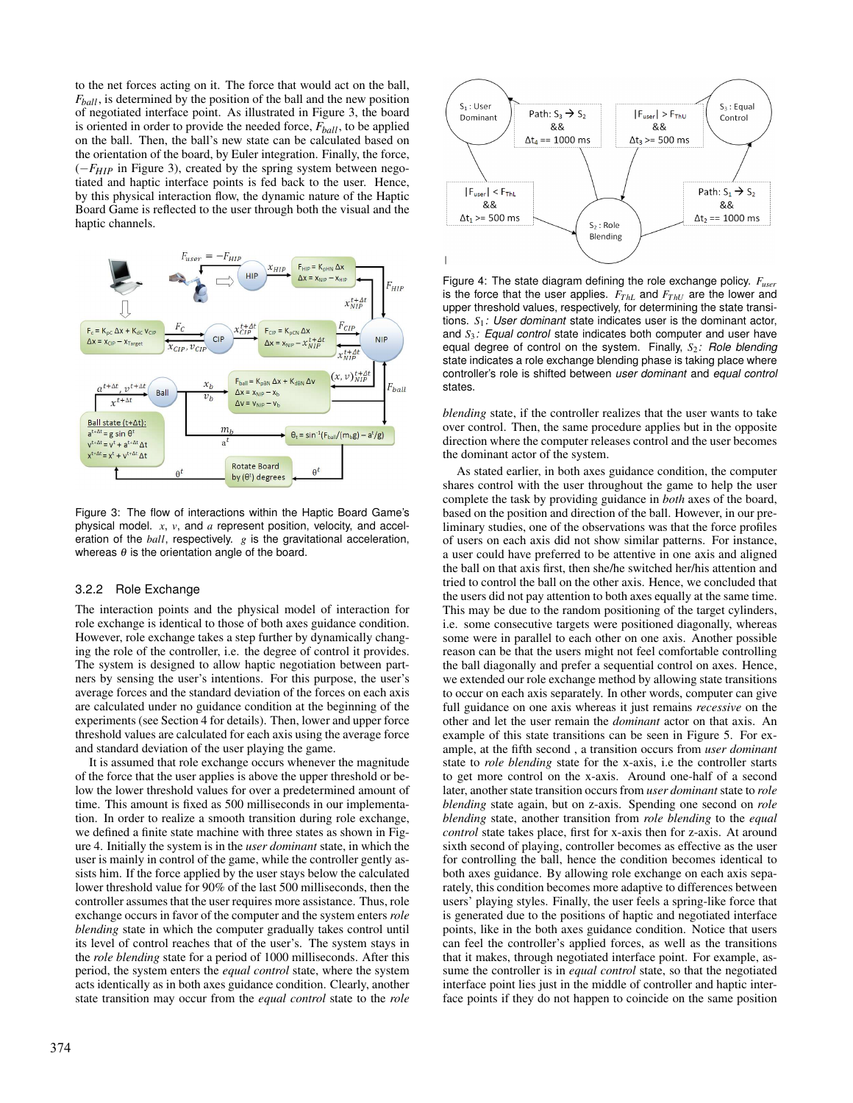to the net forces acting on it. The force that would act on the ball, *Fball*, is determined by the position of the ball and the new position of negotiated interface point. As illustrated in Figure 3, the board is oriented in order to provide the needed force, *Fball*, to be applied on the ball. Then, the ball's new state can be calculated based on the orientation of the board, by Euler integration. Finally, the force, (−*FHIP* in Figure 3), created by the spring system between negotiated and haptic interface points is fed back to the user. Hence, by this physical interaction flow, the dynamic nature of the Haptic Board Game is reflected to the user through both the visual and the haptic channels.



Figure 3: The flow of interactions within the Haptic Board Game's physical model. *x*, *v*, and *a* represent position, velocity, and acceleration of the *ball*, respectively. *g* is the gravitational acceleration, whereas  $\theta$  is the orientation angle of the board.

## 3.2.2 Role Exchange

The interaction points and the physical model of interaction for role exchange is identical to those of both axes guidance condition. However, role exchange takes a step further by dynamically changing the role of the controller, i.e. the degree of control it provides. The system is designed to allow haptic negotiation between partners by sensing the user's intentions. For this purpose, the user's average forces and the standard deviation of the forces on each axis are calculated under no guidance condition at the beginning of the experiments (see Section 4 for details). Then, lower and upper force threshold values are calculated for each axis using the average force and standard deviation of the user playing the game.

It is assumed that role exchange occurs whenever the magnitude of the force that the user applies is above the upper threshold or below the lower threshold values for over a predetermined amount of time. This amount is fixed as 500 milliseconds in our implementation. In order to realize a smooth transition during role exchange, we defined a finite state machine with three states as shown in Figure 4. Initially the system is in the *user dominant* state, in which the user is mainly in control of the game, while the controller gently assists him. If the force applied by the user stays below the calculated lower threshold value for 90% of the last 500 milliseconds, then the controller assumes that the user requires more assistance. Thus, role exchange occurs in favor of the computer and the system enters *role blending* state in which the computer gradually takes control until its level of control reaches that of the user's. The system stays in the *role blending* state for a period of 1000 milliseconds. After this period, the system enters the *equal control* state, where the system acts identically as in both axes guidance condition. Clearly, another state transition may occur from the *equal control* state to the *role*



Figure 4: The state diagram defining the role exchange policy. *Fuser* is the force that the user applies.  $F_{THI}$  and  $F_{THI}$  are the lower and upper threshold values, respectively, for determining the state transitions. *S*1*: User dominant* state indicates user is the dominant actor, and *S*3*: Equal control* state indicates both computer and user have equal degree of control on the system. Finally,  $S_2$ *: Role blending* state indicates a role exchange blending phase is taking place where controller's role is shifted between *user dominant* and *equal control* states.

*blending* state, if the controller realizes that the user wants to take over control. Then, the same procedure applies but in the opposite direction where the computer releases control and the user becomes the dominant actor of the system.

As stated earlier, in both axes guidance condition, the computer shares control with the user throughout the game to help the user complete the task by providing guidance in *both* axes of the board, based on the position and direction of the ball. However, in our preliminary studies, one of the observations was that the force profiles of users on each axis did not show similar patterns. For instance, a user could have preferred to be attentive in one axis and aligned the ball on that axis first, then she/he switched her/his attention and tried to control the ball on the other axis. Hence, we concluded that the users did not pay attention to both axes equally at the same time. This may be due to the random positioning of the target cylinders, i.e. some consecutive targets were positioned diagonally, whereas some were in parallel to each other on one axis. Another possible reason can be that the users might not feel comfortable controlling the ball diagonally and prefer a sequential control on axes. Hence, we extended our role exchange method by allowing state transitions to occur on each axis separately. In other words, computer can give full guidance on one axis whereas it just remains *recessive* on the other and let the user remain the *dominant* actor on that axis. An example of this state transitions can be seen in Figure 5. For example, at the fifth second , a transition occurs from *user dominant* state to *role blending* state for the x-axis, i.e the controller starts to get more control on the x-axis. Around one-half of a second later, another state transition occurs from *user dominant* state to *role blending* state again, but on z-axis. Spending one second on *role blending* state, another transition from *role blending* to the *equal control* state takes place, first for x-axis then for z-axis. At around sixth second of playing, controller becomes as effective as the user for controlling the ball, hence the condition becomes identical to both axes guidance. By allowing role exchange on each axis separately, this condition becomes more adaptive to differences between users' playing styles. Finally, the user feels a spring-like force that is generated due to the positions of haptic and negotiated interface points, like in the both axes guidance condition. Notice that users can feel the controller's applied forces, as well as the transitions that it makes, through negotiated interface point. For example, assume the controller is in *equal control* state, so that the negotiated interface point lies just in the middle of controller and haptic interface points if they do not happen to coincide on the same position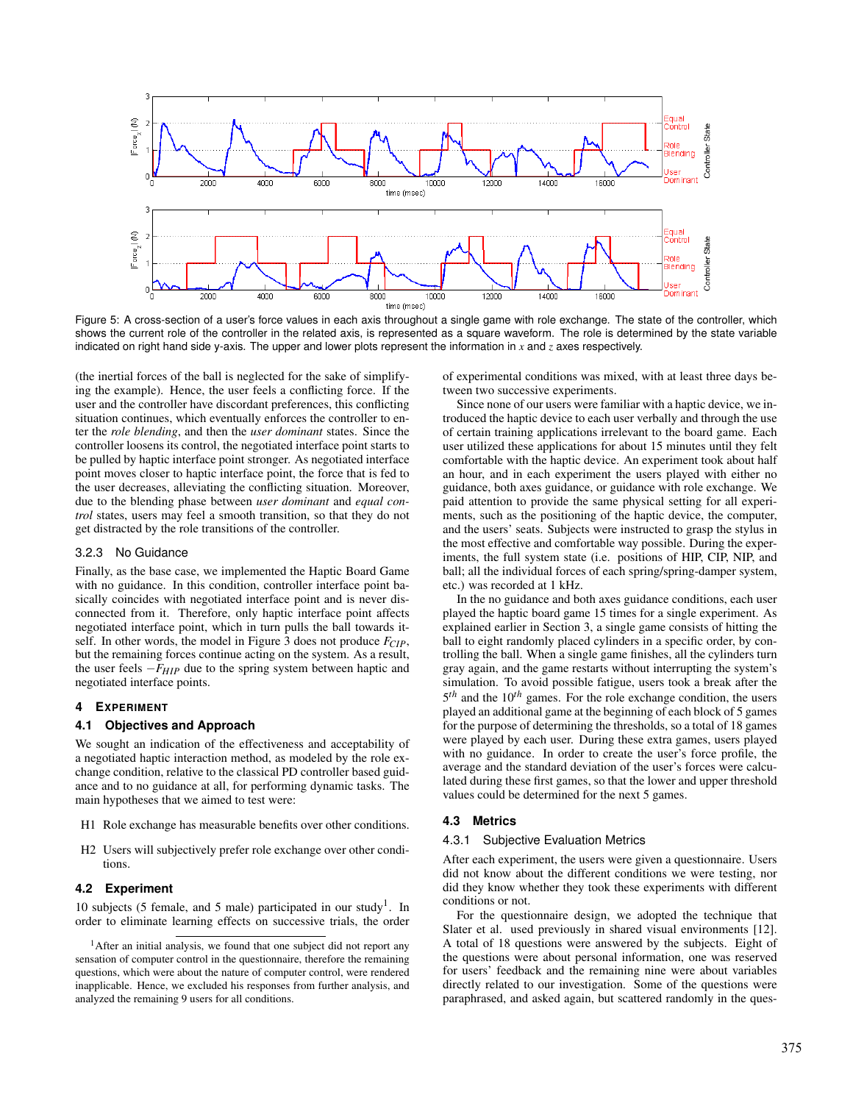

Figure 5: A cross-section of a user's force values in each axis throughout a single game with role exchange. The state of the controller, which shows the current role of the controller in the related axis, is represented as a square waveform. The role is determined by the state variable indicated on right hand side y-axis. The upper and lower plots represent the information in *x* and *z* axes respectively.

(the inertial forces of the ball is neglected for the sake of simplifying the example). Hence, the user feels a conflicting force. If the user and the controller have discordant preferences, this conflicting situation continues, which eventually enforces the controller to enter the *role blending*, and then the *user dominant* states. Since the controller loosens its control, the negotiated interface point starts to be pulled by haptic interface point stronger. As negotiated interface point moves closer to haptic interface point, the force that is fed to the user decreases, alleviating the conflicting situation. Moreover, due to the blending phase between *user dominant* and *equal control* states, users may feel a smooth transition, so that they do not get distracted by the role transitions of the controller.

# 3.2.3 No Guidance

Finally, as the base case, we implemented the Haptic Board Game with no guidance. In this condition, controller interface point basically coincides with negotiated interface point and is never disconnected from it. Therefore, only haptic interface point affects negotiated interface point, which in turn pulls the ball towards itself. In other words, the model in Figure 3 does not produce *FCIP*, but the remaining forces continue acting on the system. As a result, the user feels −*FHIP* due to the spring system between haptic and negotiated interface points.

## **4 EXPERIMENT**

# **4.1 Objectives and Approach**

We sought an indication of the effectiveness and acceptability of a negotiated haptic interaction method, as modeled by the role exchange condition, relative to the classical PD controller based guidance and to no guidance at all, for performing dynamic tasks. The main hypotheses that we aimed to test were:

- H1 Role exchange has measurable benefits over other conditions.
- H2 Users will subjectively prefer role exchange over other conditions.

#### **4.2 Experiment**

10 subjects (5 female, and 5 male) participated in our study<sup>1</sup>. In order to eliminate learning effects on successive trials, the order of experimental conditions was mixed, with at least three days between two successive experiments.

Since none of our users were familiar with a haptic device, we introduced the haptic device to each user verbally and through the use of certain training applications irrelevant to the board game. Each user utilized these applications for about 15 minutes until they felt comfortable with the haptic device. An experiment took about half an hour, and in each experiment the users played with either no guidance, both axes guidance, or guidance with role exchange. We paid attention to provide the same physical setting for all experiments, such as the positioning of the haptic device, the computer, and the users' seats. Subjects were instructed to grasp the stylus in the most effective and comfortable way possible. During the experiments, the full system state (i.e. positions of HIP, CIP, NIP, and ball; all the individual forces of each spring/spring-damper system, etc.) was recorded at 1 kHz.

In the no guidance and both axes guidance conditions, each user played the haptic board game 15 times for a single experiment. As explained earlier in Section 3, a single game consists of hitting the ball to eight randomly placed cylinders in a specific order, by controlling the ball. When a single game finishes, all the cylinders turn gray again, and the game restarts without interrupting the system's simulation. To avoid possible fatigue, users took a break after the 5 *th* and the 10*th* games. For the role exchange condition, the users played an additional game at the beginning of each block of 5 games for the purpose of determining the thresholds, so a total of 18 games were played by each user. During these extra games, users played with no guidance. In order to create the user's force profile, the average and the standard deviation of the user's forces were calculated during these first games, so that the lower and upper threshold values could be determined for the next 5 games.

#### **4.3 Metrics**

#### 4.3.1 Subjective Evaluation Metrics

After each experiment, the users were given a questionnaire. Users did not know about the different conditions we were testing, nor did they know whether they took these experiments with different conditions or not.

For the questionnaire design, we adopted the technique that Slater et al. used previously in shared visual environments [12]. A total of 18 questions were answered by the subjects. Eight of the questions were about personal information, one was reserved for users' feedback and the remaining nine were about variables directly related to our investigation. Some of the questions were paraphrased, and asked again, but scattered randomly in the ques-

 $<sup>1</sup>$ After an initial analysis, we found that one subject did not report any</sup> sensation of computer control in the questionnaire, therefore the remaining questions, which were about the nature of computer control, were rendered inapplicable. Hence, we excluded his responses from further analysis, and analyzed the remaining 9 users for all conditions.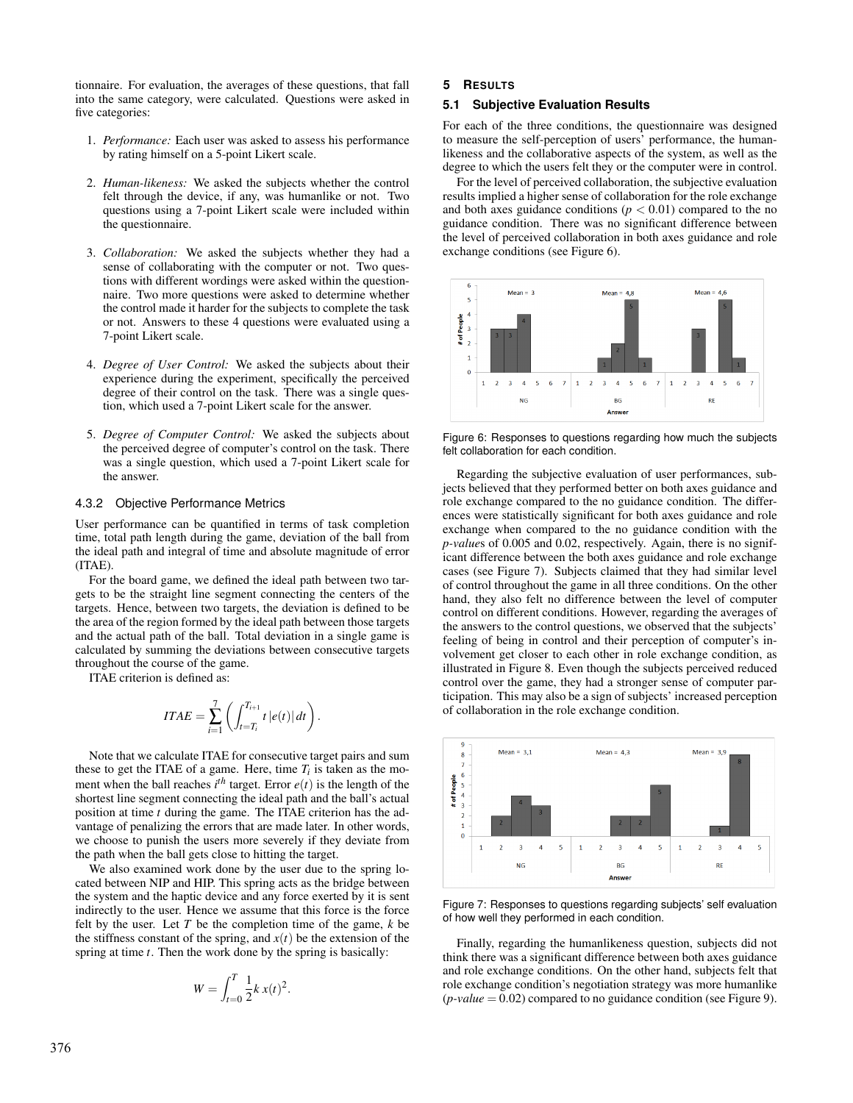tionnaire. For evaluation, the averages of these questions, that fall into the same category, were calculated. Questions were asked in five categories:

- 1. *Performance:* Each user was asked to assess his performance by rating himself on a 5-point Likert scale.
- 2. *Human-likeness:* We asked the subjects whether the control felt through the device, if any, was humanlike or not. Two questions using a 7-point Likert scale were included within the questionnaire.
- 3. *Collaboration:* We asked the subjects whether they had a sense of collaborating with the computer or not. Two questions with different wordings were asked within the questionnaire. Two more questions were asked to determine whether the control made it harder for the subjects to complete the task or not. Answers to these 4 questions were evaluated using a 7-point Likert scale.
- 4. *Degree of User Control:* We asked the subjects about their experience during the experiment, specifically the perceived degree of their control on the task. There was a single question, which used a 7-point Likert scale for the answer.
- 5. *Degree of Computer Control:* We asked the subjects about the perceived degree of computer's control on the task. There was a single question, which used a 7-point Likert scale for the answer.

## 4.3.2 Objective Performance Metrics

User performance can be quantified in terms of task completion time, total path length during the game, deviation of the ball from the ideal path and integral of time and absolute magnitude of error (ITAE).

For the board game, we defined the ideal path between two targets to be the straight line segment connecting the centers of the targets. Hence, between two targets, the deviation is defined to be the area of the region formed by the ideal path between those targets and the actual path of the ball. Total deviation in a single game is calculated by summing the deviations between consecutive targets throughout the course of the game.

ITAE criterion is defined as:

$$
ITAE = \sum_{i=1}^{7} \left( \int_{t=T_i}^{T_{i+1}} t \, |e(t)| \, dt \right).
$$

Note that we calculate ITAE for consecutive target pairs and sum these to get the ITAE of a game. Here, time  $T_i$  is taken as the moment when the ball reaches  $i^{th}$  target. Error  $e(t)$  is the length of the shortest line segment connecting the ideal path and the ball's actual position at time *t* during the game. The ITAE criterion has the advantage of penalizing the errors that are made later. In other words, we choose to punish the users more severely if they deviate from the path when the ball gets close to hitting the target.

We also examined work done by the user due to the spring located between NIP and HIP. This spring acts as the bridge between the system and the haptic device and any force exerted by it is sent indirectly to the user. Hence we assume that this force is the force felt by the user. Let *T* be the completion time of the game, *k* be the stiffness constant of the spring, and  $x(t)$  be the extension of the spring at time *t*. Then the work done by the spring is basically:

$$
W = \int_{t=0}^{T} \frac{1}{2} k x(t)^2.
$$

## **5 RESULTS**

#### **5.1 Subjective Evaluation Results**

For each of the three conditions, the questionnaire was designed to measure the self-perception of users' performance, the humanlikeness and the collaborative aspects of the system, as well as the degree to which the users felt they or the computer were in control.

For the level of perceived collaboration, the subjective evaluation results implied a higher sense of collaboration for the role exchange and both axes guidance conditions ( $p < 0.01$ ) compared to the no guidance condition. There was no significant difference between the level of perceived collaboration in both axes guidance and role exchange conditions (see Figure 6).



Figure 6: Responses to questions regarding how much the subjects felt collaboration for each condition.

Regarding the subjective evaluation of user performances, subjects believed that they performed better on both axes guidance and role exchange compared to the no guidance condition. The differences were statistically significant for both axes guidance and role exchange when compared to the no guidance condition with the *p-value*s of 0.005 and 0.02, respectively. Again, there is no significant difference between the both axes guidance and role exchange cases (see Figure 7). Subjects claimed that they had similar level of control throughout the game in all three conditions. On the other hand, they also felt no difference between the level of computer control on different conditions. However, regarding the averages of the answers to the control questions, we observed that the subjects' feeling of being in control and their perception of computer's involvement get closer to each other in role exchange condition, as illustrated in Figure 8. Even though the subjects perceived reduced control over the game, they had a stronger sense of computer participation. This may also be a sign of subjects' increased perception of collaboration in the role exchange condition.



Figure 7: Responses to questions regarding subjects' self evaluation of how well they performed in each condition.

Finally, regarding the humanlikeness question, subjects did not think there was a significant difference between both axes guidance and role exchange conditions. On the other hand, subjects felt that role exchange condition's negotiation strategy was more humanlike  $(p\text{-}value = 0.02)$  compared to no guidance condition (see Figure 9).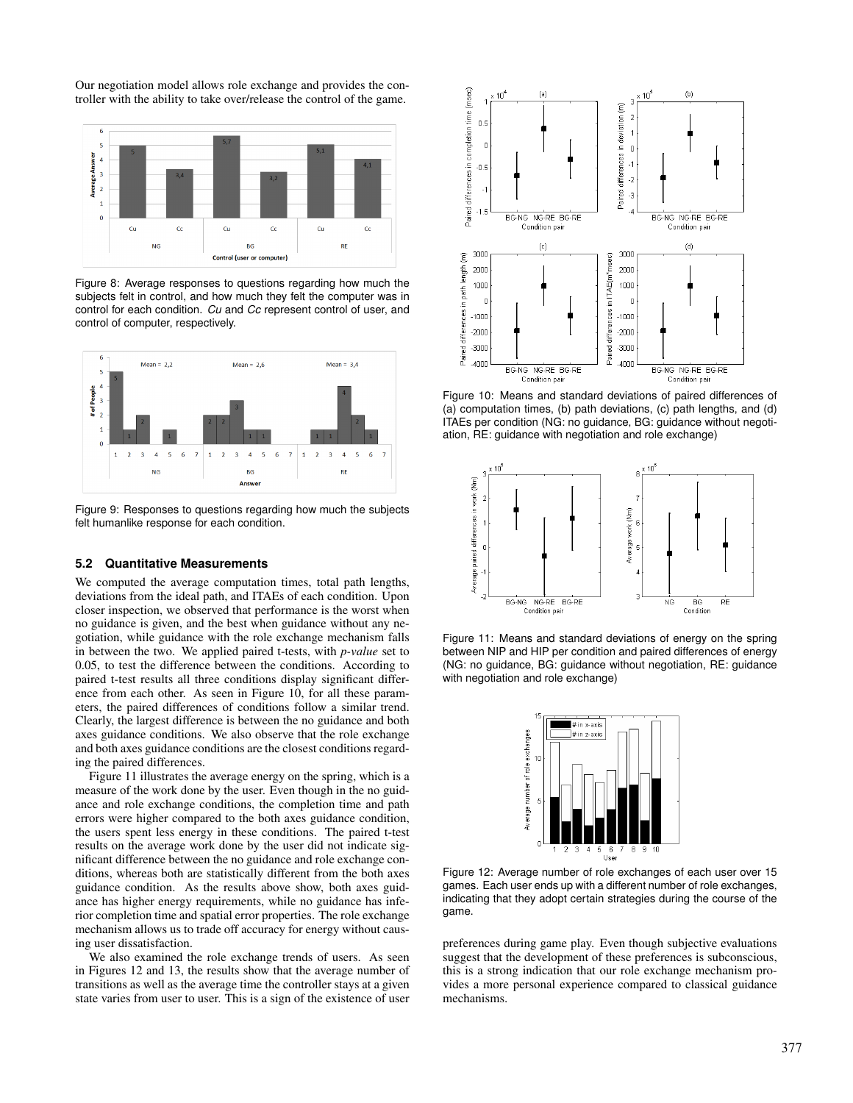Our negotiation model allows role exchange and provides the controller with the ability to take over/release the control of the game.



Figure 8: Average responses to questions regarding how much the subjects felt in control, and how much they felt the computer was in control for each condition. *Cu* and *Cc* represent control of user, and control of computer, respectively.



Figure 9: Responses to questions regarding how much the subjects felt humanlike response for each condition.

# **5.2 Quantitative Measurements**

We computed the average computation times, total path lengths, deviations from the ideal path, and ITAEs of each condition. Upon closer inspection, we observed that performance is the worst when no guidance is given, and the best when guidance without any negotiation, while guidance with the role exchange mechanism falls in between the two. We applied paired t-tests, with *p-value* set to 0.05, to test the difference between the conditions. According to paired t-test results all three conditions display significant difference from each other. As seen in Figure 10, for all these parameters, the paired differences of conditions follow a similar trend. Clearly, the largest difference is between the no guidance and both axes guidance conditions. We also observe that the role exchange and both axes guidance conditions are the closest conditions regarding the paired differences.

Figure 11 illustrates the average energy on the spring, which is a measure of the work done by the user. Even though in the no guidance and role exchange conditions, the completion time and path errors were higher compared to the both axes guidance condition, the users spent less energy in these conditions. The paired t-test results on the average work done by the user did not indicate significant difference between the no guidance and role exchange conditions, whereas both are statistically different from the both axes guidance condition. As the results above show, both axes guidance has higher energy requirements, while no guidance has inferior completion time and spatial error properties. The role exchange mechanism allows us to trade off accuracy for energy without causing user dissatisfaction.

We also examined the role exchange trends of users. As seen in Figures 12 and 13, the results show that the average number of transitions as well as the average time the controller stays at a given state varies from user to user. This is a sign of the existence of user



Figure 10: Means and standard deviations of paired differences of (a) computation times, (b) path deviations, (c) path lengths, and (d) ITAEs per condition (NG: no guidance, BG: guidance without negotiation, RE: guidance with negotiation and role exchange)



Figure 11: Means and standard deviations of energy on the spring between NIP and HIP per condition and paired differences of energy (NG: no guidance, BG: guidance without negotiation, RE: guidance with negotiation and role exchange)



Figure 12: Average number of role exchanges of each user over 15 games. Each user ends up with a different number of role exchanges, indicating that they adopt certain strategies during the course of the game.

preferences during game play. Even though subjective evaluations suggest that the development of these preferences is subconscious, this is a strong indication that our role exchange mechanism provides a more personal experience compared to classical guidance mechanisms.